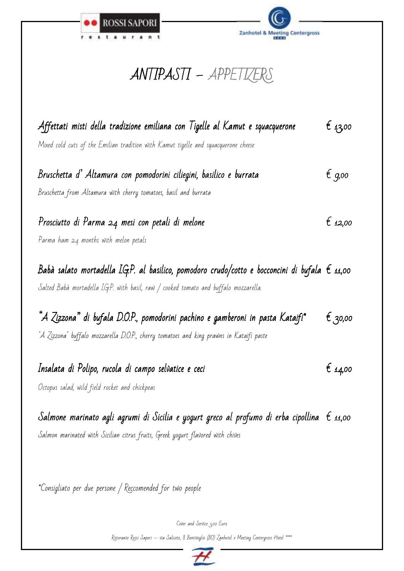



### ANTIPASTI – – APPETIZERS

| Affettati misti della tradizione emiliana con Tigelle al Kamut e squacquerone<br>Mixed cold cuts of the Emilian tradition with Kamut tigelle and squacquerone cheese                            | É 43,00 |
|-------------------------------------------------------------------------------------------------------------------------------------------------------------------------------------------------|---------|
| Bruschetta d'Altamura con pomodorini ciliegini, basilico e burrata<br>Bruschetta from Altamura with cherry tomatoes, basil and burrata                                                          | É 9,00  |
| Prosciutto di Parma 24 mesi con petali di melone<br>Parma ham 24 months with melon petals                                                                                                       | É 12,00 |
| Babà salato mortadella LG.P. al basilico, pomodoro crudo/cotto e bocconcini di bufala $\epsilon$ 11,00<br>Salted Babà mortadella I.G.P. with basil, raw / cooked tomato and buffalo mozzarella. |         |
| "A Zizzona" di bufala D.O.P., pomodorini pachino e gamberoni in pasta Kataifi*<br>"A Zizzona" buffalo mozzarella D.O.P., cherry tomatoes and king prawns in Kataifi paste                       | € 30,00 |
| Insalata di Polipo, rucola di campo selvatice e ceci<br>Octopus salad, wild field rocket and chickpeas                                                                                          | É 14,00 |
|                                                                                                                                                                                                 |         |

Salmone marinato agli agrumi di Sicilia e yogurt greco al profumo di erba cipollina  $\epsilon$  11,00 Salmon marinated with Sicilian citrus fruits, Greek yogurt flavored with chives

\*Consigliato per due persone / Reccomended for two people

Cover and Service 3,00 Euro

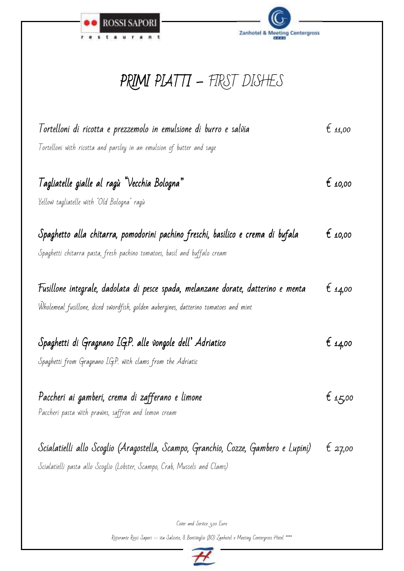



# PRIMI PLATTI – FIRST DISHES

| Tortelloni di ricotta e prezzemolo in emulsione di burro e salvia<br>Tortelloni with ricotta and parsley in an emulsion of butter and sage                                | $\epsilon$ 11,00 |
|---------------------------------------------------------------------------------------------------------------------------------------------------------------------------|------------------|
| Tagliatelle gialle al ragù "Vecchia Bologna"<br>Yellow tagliatelle with "Old Bologna" ragù                                                                                | $t_{10,00}$      |
| Spaghetto alla chitarra, pomodorini pachino freschi, basilico e crema di bufala<br>Spaghetti chitarra pasta, fresh pachino tomatoes, basil and buffalo cream              | $\epsilon$ 10,00 |
| Fusillone integrale, dadolata di pesce spada, melanzane dorate, datterino e menta<br>Wholemeal fusillone, diced swordfish, golden aubergines, datterino tomatoes and mint | € 14,00          |
| Spaghetti di Gragnano I.G.P. alle vongole dell' Adriatico<br>Spaghetti from Gragnano I.G.P. with clams from the Adriatic                                                  | € 14,00          |
| Paccheri ai gamberi, crema di zafferano e limone<br>Paccheri pasta with prawns, saffron and lemon cream                                                                   | t 15,00          |
| Scialatielli allo Scoglio (Aragostella, Scampo, Granchio, Cozze, Gambero e Lupini)<br>Scialatielli pasta allo Scoglio (Lobster, Scampo, Crab, Mussels and Clams)          | t 27,00          |

Cover and Service 3,00 Euro

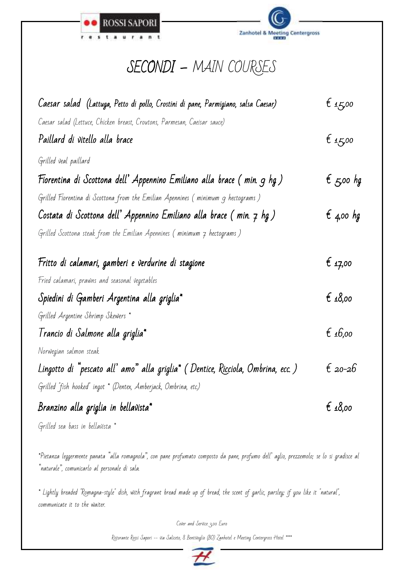



#### SECONDI - MAIN COURSES

| Caesar salad  (Lattuga, Petto di pollo, Crostini di pane, Parmigiano, salsa Caesar) | $t_{4,5,00}$       |
|-------------------------------------------------------------------------------------|--------------------|
| Caesar salad (Lettuce, Chicken breast, Croutons, Parmesan, Caeisar sauce)           |                    |
| Paillard di vitello alla brace                                                      | € 15,00            |
| Grilled veal paillard                                                               |                    |
| Fiorentina di Scottona dell' Appennino Emiliano alla brace ( min. 9 hg )            | $\epsilon$ 5,00 hg |
| Grilled Fiorentina di Scottona from the Emilian Apennines (minimum 9 hectograms )   |                    |
| Costata di Scottona dell' Appennino Emiliano alla brace ( min. 7 hg )               | $\epsilon$ 4,00 hg |
| Grilled Scottona steak from the Emilian Apennines (minimum 7 hectograms )           |                    |
| Fritto di calamari, gamberi e verdurine di stagione                                 | $\epsilon$ 17,00   |
| Fried calamari, prawns and seasonal vegetables                                      |                    |
| Spiedini di Gamberi Argentina alla griglia*                                         | € $18,00$          |
| Grilled Argentine Shrimp Skewers *                                                  |                    |
| Trancio di Salmone alla griglia*                                                    | € 16,00            |
| Norwegian salmon steak                                                              |                    |
| Lingotto di "pescato all' amo" alla griglia* ( Dentice, Ricciola, Ombrina, ecc. )   | £ 20-26            |
| Grilled "fish hooked" ingot * (Dentex, Amberjack, Ombrina, etc.)                    |                    |
| Branzino alla griglia in bellavista*                                                | £18,00             |
| Grilled sea bass in bellavista *                                                    |                    |

\*Pietanza leggermente panata "alla romagnola", con pane profumato composto da pane, profumo dell' aglio, prezzemolo; se lo si gradisce al "naturale", comunicarlo al personale di sala.

\* Lightly breaded "Romagna-style" dish, with fragrant bread made up of bread, the scent of garlic, parsley; if you like it "natural", communicate it to the waiter.

Cover and Service 3,00 Euro

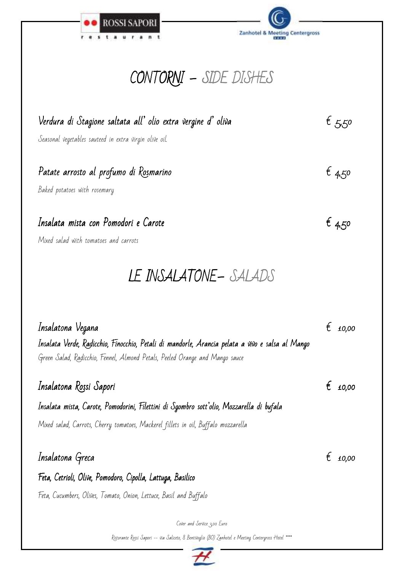

Zanhotel & Meeting Centergross

# CONTORNI – – SIDE DISHES

| Verdura di Stagione saltata all' olio extra vergine d' oliva | $t$ , 5,50 |
|--------------------------------------------------------------|------------|
| Seasonal vegetables sauteed in extra virgin olive oil.       |            |
| Patate arrosto al profumo di Rosmarino                       | 64,50      |
| Baked potatoes with rosemary                                 |            |
| Insalata mista con Pomodori e Carote                         | $t_{4,50}$ |
| Mixed salad with tomatoes and carrots                        |            |

## LE INSALATONE- SALADS

| Insalatona Vegana<br>Insalata Verde, Radicchio, Finocchio, Petali di mandorle, Arancia pelata a vivo e salsa al Mango<br>Green Salad, Radicchio, Fennel, Almond Petals, Peeled Orange and Mango sauce |   | 10.00 |
|-------------------------------------------------------------------------------------------------------------------------------------------------------------------------------------------------------|---|-------|
| Insalatona Rossi Sapori                                                                                                                                                                               | ŧ | 10,00 |
| Insalata mista, Carote, Pomodorini, Filettini di Sgombro sott'olio, Mozzarella di bufala                                                                                                              |   |       |
| Mixed salad, Carrots, Cherry tomatoes, Mackerel fillets in oil, Buffalo mozzarella                                                                                                                    |   |       |
|                                                                                                                                                                                                       |   |       |
| Insalatona Greca                                                                                                                                                                                      |   | 10.00 |
| Feta, Cetrioli, Olive, Pomodoro, Cipolla, Lattuga, Basilico                                                                                                                                           |   |       |
| Feta, Cucumbers, Olives, Tomato, Onion, Lettuce, Basil and Buffalo                                                                                                                                    |   |       |
|                                                                                                                                                                                                       |   |       |
| Cover and Service 3,00 Euro                                                                                                                                                                           |   |       |
| Ristorante Rossi Sapori -- via Saliceto, 8 Bentivoglio (BO) Zanhotel e Meeting Centergross Hotel ****                                                                                                 |   |       |